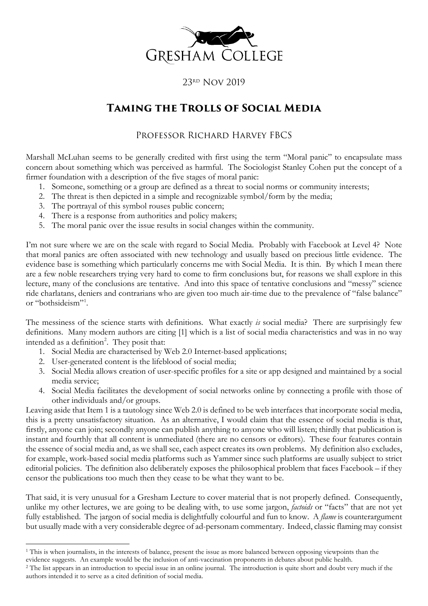

## 23rd Nov 2019

## **Taming the Trolls of Social Media**

## Professor Richard Harvey FBCS

Marshall McLuhan seems to be generally credited with first using the term "Moral panic" to encapsulate mass concern about something which was perceived as harmful. The Sociologist Stanley Cohen put the concept of a firmer foundation with a description of the five stages of moral panic:

- 1. Someone, something or a group are defined as a threat to social norms or community interests;
- 2. The threat is then depicted in a simple and recognizable symbol/form by the media;
- 3. The portrayal of this symbol rouses public concern;
- 4. There is a response from authorities and policy makers;
- 5. The moral panic over the issue results in social changes within the community.

I'm not sure where we are on the scale with regard to Social Media. Probably with Facebook at Level 4? Note that moral panics are often associated with new technology and usually based on precious little evidence. The evidence base is something which particularly concerns me with Social Media. It is thin. By which I mean there are a few noble researchers trying very hard to come to firm conclusions but, for reasons we shall explore in this lecture, many of the conclusions are tentative. And into this space of tentative conclusions and "messy" science ride charlatans, deniers and contrarians who are given too much air-time due to the prevalence of "false balance" or "bothsideism"[1](#page-0-0) .

The messiness of the science starts with definitions. What exactly *is* social media? There are surprisingly few definitions. Many modern authors are citing [1] which is a list of social media characteristics and was in no way intended as a definition<sup>[2](#page-0-1)</sup>. They posit that:

- 1. Social Media are characterised by Web 2.0 Internet-based applications;
- 2. User-generated content is the lifeblood of social media;
- 3. Social Media allows creation of user-specific profiles for a site or app designed and maintained by a social media service;
- 4. Social Media facilitates the development of social networks online by connecting a profile with those of other individuals and/or groups.

Leaving aside that Item 1 is a tautology since Web 2.0 is defined to be web interfaces that incorporate social media, this is a pretty unsatisfactory situation. As an alternative, I would claim that the essence of social media is that, firstly, anyone can join; secondly anyone can publish anything to anyone who will listen; thirdly that publication is instant and fourthly that all content is unmediated (there are no censors or editors). These four features contain the essence of social media and, as we shall see, each aspect creates its own problems. My definition also excludes, for example, work-based social media platforms such as Yammer since such platforms are usually subject to strict editorial policies. The definition also deliberately exposes the philosophical problem that faces Facebook – if they censor the publications too much then they cease to be what they want to be.

That said, it is very unusual for a Gresham Lecture to cover material that is not properly defined. Consequently, unlike my other lectures, we are going to be dealing with, to use some jargon, *factoids* or "facts" that are not yet fully established. The jargon of social media is delightfully colourful and fun to know. A *flame* is counterargument but usually made with a very considerable degree of ad-personam commentary. Indeed, classic flaming may consist

<span id="page-0-0"></span><sup>&</sup>lt;sup>1</sup> This is when journalists, in the interests of balance, present the issue as more balanced between opposing viewpoints than the evidence suggests. An example would be the inclusion of anti-vaccination proponents in debates about public health.

<span id="page-0-1"></span><sup>&</sup>lt;sup>2</sup> The list appears in an introduction to special issue in an online journal. The introduction is quite short and doubt very much if the authors intended it to serve as a cited definition of social media.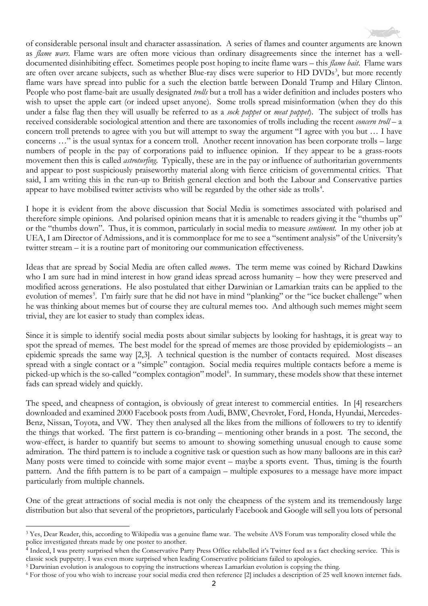of considerable personal insult and character assassination. A series of flames and counter arguments are known

as *flame wars*. Flame wars are often more vicious than ordinary disagreements since the internet has a welldocumented disinhibiting effect. Sometimes people post hoping to incite flame wars – this *flame bait*. Flame wars are often over arcane subjects, such as whether Blue-ray discs were superior to HD DVDs<sup>[3](#page-1-0)</sup>, but more recently flame wars have spread into public for a such the election battle between Donald Trump and Hilary Clinton. People who post flame-bait are usually designated *trolls* but a troll has a wider definition and includes posters who wish to upset the apple cart (or indeed upset anyone). Some trolls spread misinformation (when they do this under a false flag then they will usually be referred to as a *sock puppet* or *meat puppet*). The subject of trolls has received considerable sociological attention and there are taxonomies of trolls including the recent *concern troll* – a concern troll pretends to agree with you but will attempt to sway the argument "I agree with you but … I have concerns …" is the usual syntax for a concern troll. Another recent innovation has been corporate trolls – large numbers of people in the pay of corporations paid to influence opinion. If they appear to be a grass-roots movement then this is called *astroturfing*. Typically, these are in the pay or influence of authoritarian governments and appear to post suspiciously praiseworthy material along with fierce criticism of governmental critics. That said, I am writing this in the run-up to British general election and both the Labour and Conservative parties appear to have mobilised twitter activists who will be regarded by the other side as trolls<sup>[4](#page-1-1)</sup>.

I hope it is evident from the above discussion that Social Media is sometimes associated with polarised and therefore simple opinions. And polarised opinion means that it is amenable to readers giving it the "thumbs up" or the "thumbs down". Thus, it is common, particularly in social media to measure *sentiment*. In my other job at UEA, I am Director of Admissions, and it is commonplace for me to see a "sentiment analysis" of the University's twitter stream – it is a routine part of monitoring our communication effectiveness.

Ideas that are spread by Social Media are often called *meme*s. The term meme was coined by Richard Dawkins who I am sure had in mind interest in how grand ideas spread across humanity – how they were preserved and modified across generations. He also postulated that either Darwinian or Lamarkian traits can be applied to the evolution of memes<sup>[5](#page-1-2)</sup>. I'm fairly sure that he did not have in mind "planking" or the "ice bucket challenge" when he was thinking about memes but of course they are cultural memes too. And although such memes might seem trivial, they are lot easier to study than complex ideas.

Since it is simple to identify social media posts about similar subjects by looking for hashtags, it is great way to spot the spread of memes. The best model for the spread of memes are those provided by epidemiologists – an epidemic spreads the same way [2,3]. A technical question is the number of contacts required. Most diseases spread with a single contact or a "simple" contagion. Social media requires multiple contacts before a meme is picked-up which is the so-called "complex contagion" model<sup>[6](#page-1-3)</sup>. In summary, these models show that these internet fads can spread widely and quickly.

The speed, and cheapness of contagion, is obviously of great interest to commercial entities. In [4] researchers downloaded and examined 2000 Facebook posts from Audi, BMW, Chevrolet, Ford, Honda, Hyundai, Mercedes-Benz, Nissan, Toyota, and VW. They then analysed all the likes from the millions of followers to try to identify the things that worked. The first pattern is co-branding – mentioning other brands in a post. The second, the wow-effect, is harder to quantify but seems to amount to showing something unusual enough to cause some admiration. The third pattern is to include a cognitive task or question such as how many balloons are in this car? Many posts were timed to coincide with some major event – maybe a sports event. Thus, timing is the fourth pattern. And the fifth pattern is to be part of a campaign – multiple exposures to a message have more impact particularly from multiple channels.

One of the great attractions of social media is not only the cheapness of the system and its tremendously large distribution but also that several of the proprietors, particularly Facebook and Google will sell you lots of personal

<span id="page-1-0"></span><sup>3</sup> Yes, Dear Reader, this, according to Wikipedia was a genuine flame war. The website AVS Forum was temporality closed while the police investigated threats made by one poster to another.

<span id="page-1-1"></span><sup>4</sup> Indeed, I was pretty surprised when the Conservative Party Press Office relabelled it's Twitter feed as a fact checking service. This is classic sock puppetry. I was even more surprised when leading Conservative politicians failed to apologies.

<span id="page-1-2"></span><sup>5</sup> Darwinian evolution is analogous to copying the instructions whereas Lamarkian evolution is copying the thing.

<span id="page-1-3"></span><sup>6</sup> For those of you who wish to increase your social media cred then reference [2] includes a description of 25 well known internet fads.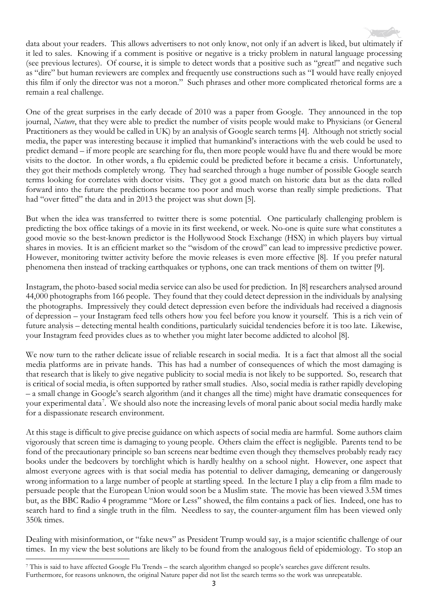

data about your readers. This allows advertisers to not only know, not only if an advert is liked, but ultimately if it led to sales. Knowing if a comment is positive or negative is a tricky problem in natural language processing (see previous lectures). Of course, it is simple to detect words that a positive such as "great!" and negative such as "dire" but human reviewers are complex and frequently use constructions such as "I would have really enjoyed this film if only the director was not a moron." Such phrases and other more complicated rhetorical forms are a remain a real challenge.

One of the great surprises in the early decade of 2010 was a paper from Google. They announced in the top journal, *Nature*, that they were able to predict the number of visits people would make to Physicians (or General Practitioners as they would be called in UK) by an analysis of Google search terms [4]. Although not strictly social media, the paper was interesting because it implied that humankind's interactions with the web could be used to predict demand – if more people are searching for flu, then more people would have flu and there would be more visits to the doctor. In other words, a flu epidemic could be predicted before it became a crisis. Unfortunately, they got their methods completely wrong. They had searched through a huge number of possible Google search terms looking for correlates with doctor visits. They got a good match on historic data but as the data rolled forward into the future the predictions became too poor and much worse than really simple predictions. That had "over fitted" the data and in 2013 the project was shut down [5].

But when the idea was transferred to twitter there is some potential. One particularly challenging problem is predicting the box office takings of a movie in its first weekend, or week. No-one is quite sure what constitutes a good movie so the best-known predictor is the Hollywood Stock Exchange (HSX) in which players buy virtual shares in movies. It is an efficient market so the "wisdom of the crowd" can lead to impressive predictive power. However, monitoring twitter activity before the movie releases is even more effective [8]. If you prefer natural phenomena then instead of tracking earthquakes or typhons, one can track mentions of them on twitter [9].

Instagram, the photo-based social media service can also be used for prediction. In [8] researchers analysed around 44,000 photographs from 166 people. They found that they could detect depression in the individuals by analysing the photographs. Impressively they could detect depression even before the individuals had received a diagnosis of depression – your Instagram feed tells others how you feel before you know it yourself. This is a rich vein of future analysis – detecting mental health conditions, particularly suicidal tendencies before it is too late. Likewise, your Instagram feed provides clues as to whether you might later become addicted to alcohol [8].

We now turn to the rather delicate issue of reliable research in social media. It is a fact that almost all the social media platforms are in private hands. This has had a number of consequences of which the most damaging is that research that is likely to give negative publicity to social media is not likely to be supported. So, research that is critical of social media, is often supported by rather small studies. Also, social media is rather rapidly developing – a small change in Google's search algorithm (and it changes all the time) might have dramatic consequences for your experimental data<sup>[7](#page-2-0)</sup>. We should also note the increasing levels of moral panic about social media hardly make for a dispassionate research environment.

At this stage is difficult to give precise guidance on which aspects of social media are harmful. Some authors claim vigorously that screen time is damaging to young people. Others claim the effect is negligible. Parents tend to be fond of the precautionary principle so ban screens near bedtime even though they themselves probably ready racy books under the bedcovers by torchlight which is hardly healthy on a school night. However, one aspect that almost everyone agrees with is that social media has potential to deliver damaging, demeaning or dangerously wrong information to a large number of people at startling speed. In the lecture I play a clip from a film made to persuade people that the European Union would soon be a Muslim state. The movie has been viewed 3.5M times but, as the BBC Radio 4 programme "More or Less" showed, the film contains a pack of lies. Indeed, one has to search hard to find a single truth in the film. Needless to say, the counter-argument film has been viewed only 350k times.

Dealing with misinformation, or "fake news" as President Trump would say, is a major scientific challenge of our times. In my view the best solutions are likely to be found from the analogous field of epidemiology. To stop an

<span id="page-2-0"></span><sup>7</sup> This is said to have affected Google Flu Trends – the search algorithm changed so people's searches gave different results. Furthermore, for reasons unknown, the original Nature paper did not list the search terms so the work was unrepeatable.